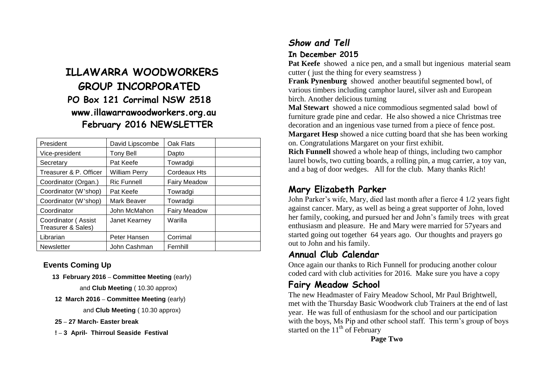# **ILLAWARRA WOODWORKERS GROUP INCORPORATED PO Box 121 Corrimal NSW 2518 www.illawarrawoodworkers.org.au February 2016 NEWSLETTER**

| President                                 | David Lipscombe      | Oak Flats           |  |
|-------------------------------------------|----------------------|---------------------|--|
| Vice-president                            | <b>Tony Bell</b>     | Dapto               |  |
| Secretary                                 | Pat Keefe            | Towradgi            |  |
| Treasurer & P. Officer                    | <b>William Perry</b> | Cordeaux Hts        |  |
| Coordinator (Organ.)                      | <b>Ric Funnell</b>   | <b>Fairy Meadow</b> |  |
| Coordinator (W'shop)                      | Pat Keefe            | Towradgi            |  |
| Coordinator (W'shop)                      | Mark Beaver          | Towradgi            |  |
| Coordinator                               | John McMahon         | <b>Fairy Meadow</b> |  |
| Coordinator (Assist<br>Treasurer & Sales) | Janet Kearney        | Warilla             |  |
| Librarian                                 | Peter Hansen         | Corrimal            |  |
| <b>Newsletter</b>                         | John Cashman         | Fernhill            |  |

#### **Events Coming Up**

 **13 February 2016 – Committee Meeting** (early)

and **Club Meeting** ( 10.30 approx)

**12 March 2016 – Committee Meeting** (early)

and **Club Meeting** ( 10.30 approx)

**25 – 27 March- Easter break**

**! – 3 April- Thirroul Seaside Festival**

## *Show and Tell* **In December 2015**

**Pat Keefe** showed a nice pen, and a small but ingenious material seam cutter ( just the thing for every seamstress )

**Frank Pynenburg** showed another beautiful segmented bowl, of various timbers including camphor laurel, silver ash and European birch. Another delicious turning

**Mal Stewart** showed a nice commodious segmented salad bowl of furniture grade pine and cedar. He also showed a nice Christmas tree decoration and an ingenious vase turned from a piece of fence post. **Margaret Hesp** showed a nice cutting board that she has been working on. Congratulations Margaret on your first exhibit.

**Rich Funnell** showed a whole heap of things, including two camphor laurel bowls, two cutting boards, a rolling pin, a mug carrier, a toy van, and a bag of door wedges. All for the club. Many thanks Rich!

## **Mary Elizabeth Parker**

John Parker's wife, Mary, died last month after a fierce 4 1/2 years fight against cancer. Mary, as well as being a great supporter of John, loved her family, cooking, and pursued her and John's family trees with great enthusiasm and pleasure. He and Mary were married for 57years and started going out together 64 years ago. Our thoughts and prayers go out to John and his family.

### **Annual Club Calendar**

Once again our thanks to Rich Funnell for producing another colour coded card with club activities for 2016. Make sure you have a copy

## **Fairy Meadow School**

The new Headmaster of Fairy Meadow School, Mr Paul Brightwell, met with the Thursday Basic Woodwork club Trainers at the end of last year. He was full of enthusiasm for the school and our participation with the boys, Ms Pip and other school staff. This term's group of boys started on the  $11<sup>th</sup>$  of February